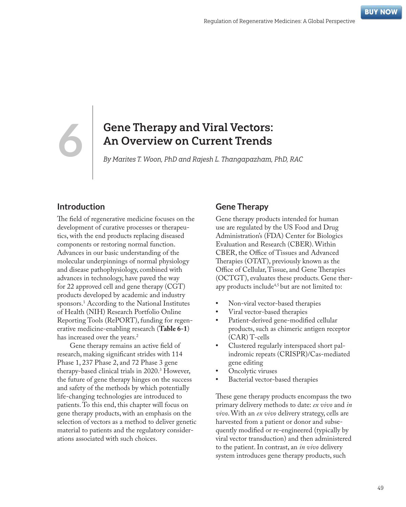# **6** Gene Therapy and Viral Vectors: An Overview on Current Trends

By Marites T. Woon, PhD and Rajesh L. Thangapazham, PhD, RAC

#### **Introduction**

The field of regenerative medicine focuses on the development of curative processes or therapeutics, with the end products replacing diseased components or restoring normal function. Advances in our basic understanding of the molecular underpinnings of normal physiology and disease pathophysiology, combined with advances in technology, have paved the way for 22 approved cell and gene therapy (CGT) products developed by academic and industry sponsors.1 According to the National Institutes of Health (NIH) Research Portfolio Online Reporting Tools (RePORT), funding for regenerative medicine-enabling research (**Table 6-1**) has increased over the years.<sup>2</sup>

Gene therapy remains an active field of research, making significant strides with 114 Phase 1, 237 Phase 2, and 72 Phase 3 gene therapy-based clinical trials in 2020.3 However, the future of gene therapy hinges on the success and safety of the methods by which potentially life-changing technologies are introduced to patients. To this end, this chapter will focus on gene therapy products, with an emphasis on the selection of vectors as a method to deliver genetic material to patients and the regulatory considerations associated with such choices.

#### **Gene Therapy**

Gene therapy products intended for human use are regulated by the US Food and Drug Administration's (FDA) Center for Biologics Evaluation and Research (CBER). Within CBER, the Office of Tissues and Advanced Therapies (OTAT), previously known as the Office of Cellular, Tissue, and Gene Therapies (OCTGT), evaluates these products. Gene therapy products include<sup>4,5</sup> but are not limited to:

- **•** Non-viral vector-based therapies
- **•** Viral vector-based therapies
- **•** Patient-derived gene-modified cellular products, such as chimeric antigen receptor (CAR) T-cells
- **•** Clustered regularly interspaced short palindromic repeats (CRISPR)/Cas-mediated gene editing
- **•** Oncolytic viruses
- **•** Bacterial vector-based therapies

These gene therapy products encompass the two primary delivery methods to date: *ex vivo* and *in vivo*. With an *ex vivo* delivery strategy, cells are harvested from a patient or donor and subsequently modified or re-engineered (typically by viral vector transduction) and then administered to the patient. In contrast, an *in vivo* delivery system introduces gene therapy products, such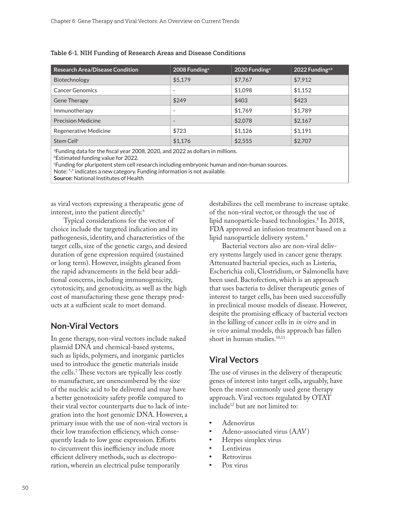| <b>Research Area/Disease Condition</b> | 2008 Funding <sup>a</sup> | 2020 Funding <sup>a</sup> | 2022 Funding <sup>a,b</sup> |
|----------------------------------------|---------------------------|---------------------------|-----------------------------|
| Biotechnology                          | \$5,179                   | \$7,767                   | \$7.912                     |
| <b>Cancer Genomics</b>                 | ٠                         | \$1,098                   | \$1.152                     |
| <b>Gene Therapy</b>                    | \$249                     | \$403                     | \$423                       |
| Immunotherapy                          | ٠                         | \$1,769                   | \$1,789                     |
| <b>Precision Medicine</b>              | $\overline{\phantom{a}}$  | \$2,078                   | \$2,167                     |
| Regenerative Medicine                  | \$723                     | \$1,126                   | \$1.191                     |
| Stem Cell <sup>c</sup>                 | \$1.176                   | \$2,555                   | \$2,707                     |

Table 6-1. NIH Funding of Research Areas and Disease Conditions

a Funding data for the fiscal year 2008, 2020, and 2022 as dollars in millions.

b Estimated funding value for 2022.

c Funding for pluripotent stem cell research including embryonic human and non-human sources.

Note: "-" indicates a new category. Funding information is not available.

**Source:** National Institutes of Health

as viral vectors expressing a therapeutic gene of interest, into the patient directly.6

Typical considerations for the vector of choice include the targeted indication and its pathogenesis, identity, and characteristics of the target cells, size of the genetic cargo, and desired duration of gene expression required (sustained or long term). However, insights gleaned from the rapid advancements in the field bear additional concerns, including immunogenicity, cytotoxicity, and genotoxicity, as well as the high cost of manufacturing these gene therapy products at a sufficient scale to meet demand.

#### **Non-Viral Vectors**

In gene therapy, non-viral vectors include naked plasmid DNA and chemical-based systems, such as lipids, polymers, and inorganic particles used to introduce the genetic materials inside the cells.7 These vectors are typically less costly to manufacture, are unencumbered by the size of the nucleic acid to be delivered and may have a better genotoxicity safety profile compared to their viral vector counterparts due to lack of integration into the host genomic DNA. However, a primary issue with the use of non-viral vectors is their low transfection efficiency, which consequently leads to low gene expression. Efforts to circumvent this inefficiency include more efficient delivery methods, such as electroporation, wherein an electrical pulse temporarily

destabilizes the cell membrane to increase uptake of the non-viral vector, or through the use of lipid nanoparticle-based technologies.8 In 2018, FDA approved an infusion treatment based on a lipid nanoparticle delivery system.<sup>9</sup>

Bacterial vectors also are non-viral delivery systems largely used in cancer gene therapy. Attenuated bacterial species, such as Listeria, Escherichia coli, Clostridium, or Salmonella have been used. Bactofection, which is an approach that uses bacteria to deliver therapeutic genes of interest to target cells, has been used successfully in preclinical mouse models of disease. However, despite the promising efficacy of bacterial vectors in the killing of cancer cells in *in vitro* and in *in vivo* animal models, this approach has fallen short in human studies.<sup>10,11</sup>

## **Viral Vectors**

The use of viruses in the delivery of therapeutic genes of interest into target cells, arguably, have been the most commonly used gene therapy approach. Viral vectors regulated by OTAT include12 but are not limited to:

- **•** Adenovirus
- **•** Adeno-associated virus (AAV)
- **•** Herpes simplex virus
- **•** Lentivirus
- **•** Retrovirus
- **•** Pox virus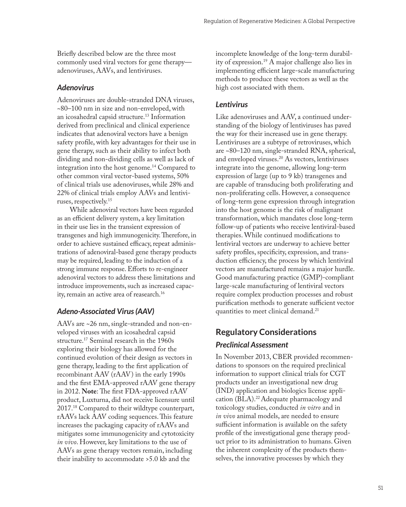Briefly described below are the three most commonly used viral vectors for gene therapy adenoviruses, AAVs, and lentiviruses.

#### *Adenovirus*

Adenoviruses are double-stranded DNA viruses, ~80–100 nm in size and non-enveloped, with an icosahedral capsid structure.13 Information derived from preclinical and clinical experience indicates that adenoviral vectors have a benign safety profile, with key advantages for their use in gene therapy, such as their ability to infect both dividing and non-dividing cells as well as lack of integration into the host genome.14 Compared to other common viral vector-based systems, 50% of clinical trials use adenoviruses, while 28% and 22% of clinical trials employ AAVs and lentiviruses, respectively.15

While adenoviral vectors have been regarded as an efficient delivery system, a key limitation in their use lies in the transient expression of transgenes and high immunogenicity. Therefore, in order to achieve sustained efficacy, repeat administrations of adenoviral-based gene therapy products may be required, leading to the induction of a strong immune response. Efforts to re-engineer adenoviral vectors to address these limitations and introduce improvements, such as increased capacity, remain an active area of reasearch.<sup>16</sup>

#### *Adeno-Associated Virus (AAV)*

AAVs are ~26 nm, single-stranded and non-enveloped viruses with an icosahedral capsid structure.<sup>17</sup> Seminal research in the 1960s exploring their biology has allowed for the continued evolution of their design as vectors in gene therapy, leading to the first application of recombinant AAV (rAAV) in the early 1990s and the first EMA-approved rAAV gene therapy in 2012. **Note**: The first FDA-approved rAAV product, Luxturna, did not receive licensure until 2017.18 Compared to their wildtype counterpart, rAAVs lack AAV coding sequences. This feature increases the packaging capacity of rAAVs and mitigates some immunogenicity and cytotoxicity *in vivo*. However, key limitations to the use of AAVs as gene therapy vectors remain, including their inability to accommodate >5.0 kb and the

incomplete knowledge of the long-term durability of expression.19 A major challenge also lies in implementing efficient large-scale manufacturing methods to produce these vectors as well as the high cost associated with them.

#### *Lentivirus*

Like adenoviruses and AAV, a continued understanding of the biology of lentiviruses has paved the way for their increased use in gene therapy. Lentiviruses are a subtype of retroviruses, which are ~80–120 nm, single-stranded RNA, spherical, and enveloped viruses.20 As vectors, lentiviruses integrate into the genome, allowing long-term expression of large (up to 9 kb) transgenes and are capable of transducing both proliferating and non-proliferating cells. However, a consequence of long-term gene expression through integration into the host genome is the risk of malignant transformation, which mandates close long-term follow-up of patients who receive lentiviral-based therapies. While continued modifications to lentiviral vectors are underway to achieve better safety profiles, specificity, expression, and transduction efficiency, the process by which lentiviral vectors are manufactured remains a major hurdle. Good manufacturing practice (GMP)-compliant large-scale manufacturing of lentiviral vectors require complex production processes and robust purification methods to generate sufficient vector quantities to meet clinical demand.<sup>21</sup>

# **Regulatory Considerations**

#### *Preclinical Assessment*

In November 2013, CBER provided recommendations to sponsors on the required preclinical information to support clinical trials for CGT products under an investigational new drug (IND) application and biologics license application (BLA).<sup>22</sup> Adequate pharmacology and toxicology studies, conducted *in vitro* and in *in vivo* animal models, are needed to ensure sufficient information is available on the safety profile of the investigational gene therapy product prior to its administration to humans. Given the inherent complexity of the products themselves, the innovative processes by which they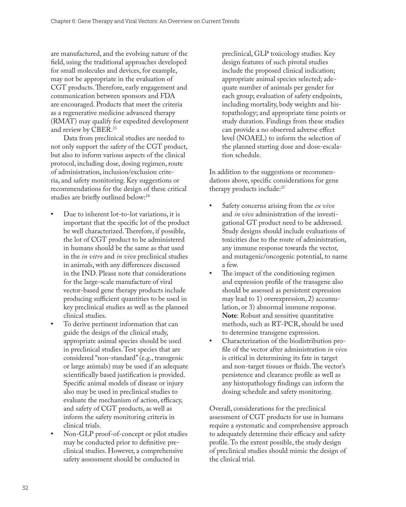are manufactured, and the evolving nature of the field, using the traditional approaches developed for small molecules and devices, for example, may not be appropriate in the evaluation of CGT products. Therefore, early engagement and communication between sponsors and FDA are encouraged. Products that meet the criteria as a regenerative medicine advanced therapy (RMAT) may qualify for expedited development and review by CBER.23

Data from preclinical studies are needed to not only support the safety of the CGT product, but also to inform various aspects of the clinical protocol, including dose, dosing regimen, route of administration, inclusion/exclusion criteria, and safety monitoring. Key suggestions or recommendations for the design of these critical studies are briefly outlined below:<sup>24</sup>

- **•** Due to inherent lot-to-lot variations, it is important that the specific lot of the product be well characterized. Therefore, if possible, the lot of CGT product to be administered in humans should be the same as that used in the *in vitro* and *in vivo* preclinical studies in animals, with any differences discussed in the IND. Please note that considerations for the large-scale manufacture of viral vector-based gene therapy products include producing sufficient quantities to be used in key preclinical studies as well as the planned clinical studies.
- **•** To derive pertinent information that can guide the design of the clinical study, appropriate animal species should be used in preclinical studies. Test species that are considered "non-standard" (e.g., transgenic or large animals) may be used if an adequate scientifically based justification is provided. Specific animal models of disease or injury also may be used in preclinical studies to evaluate the mechanism of action, efficacy, and safety of CGT products, as well as inform the safety monitoring criteria in clinical trials.
- **•** Non-GLP proof-of-concept or pilot studies may be conducted prior to definitive preclinical studies. However, a comprehensive safety assessment should be conducted in

preclinical, GLP toxicology studies. Key design features of such pivotal studies include the proposed clinical indication; appropriate animal species selected; adequate number of animals per gender for each group; evaluation of safety endpoints, including mortality, body weights and histopathology; and appropriate time points or study duration. Findings from these studies can provide a no observed adverse effect level (NOAEL) to inform the selection of the planned starting dose and dose-escalation schedule.

In addition to the suggestions or recommendations above, specific considerations for gene therapy products include:<sup>25</sup>

- **•** Safety concerns arising from the *ex vivo* and *in vivo* administration of the investigational GT product need to be addressed. Study designs should include evaluations of toxicities due to the route of administration, any immune response towards the vector, and mutagenic/oncogenic potential, to name a few.
- **•** The impact of the conditioning regimen and expression profile of the transgene also should be assessed as persistent expression may lead to 1) overexpression, 2) accumulation, or 3) abnormal immune response. **Note**: Robust and sensitive quantitative methods, such as RT-PCR, should be used to determine transgene expression.
- **•** Characterization of the biodistribution profile of the vector after administration *in vivo* is critical in determining its fate in target and non-target tissues or fluids. The vector's persistence and clearance profile as well as any histopathology findings can inform the dosing schedule and safety monitoring.

Overall, considerations for the preclinical assessment of CGT products for use in humans require a systematic and comprehensive approach to adequately determine their efficacy and safety profile. To the extent possible, the study design of preclinical studies should mimic the design of the clinical trial.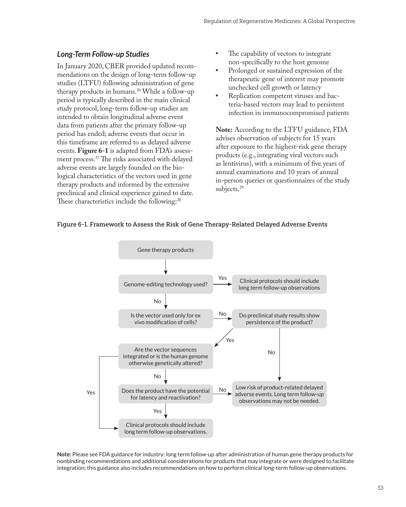#### *Long-Term Follow-up Studies*

In January 2020, CBER provided updated recommendations on the design of long-term follow-up studies (LTFU) following administration of gene therapy products in humans.26 While a follow-up period is typically described in the main clinical study protocol, long-term follow-up studies are intended to obtain longitudinal adverse event data from patients after the primary follow-up period has ended; adverse events that occur in this timeframe are referred to as delayed adverse events. **Figure 6-1** is adapted from FDA's assessment process.27 The risks associated with delayed adverse events are largely founded on the biological characteristics of the vectors used in gene therapy products and informed by the extensive preclinical and clinical experience gained to date. These characteristics include the following:<sup>28</sup>

- **•** The capability of vectors to integrate non-specifically to the host genome
- **•** Prolonged or sustained expression of the therapeutic gene of interest may promote unchecked cell growth or latency
- **•** Replication competent viruses and bacteria-based vectors may lead to persistent infection in immunocompromised patients

**Note:** According to the LTFU guidance, FDA advises observation of subjects for 15 years after exposure to the highest-risk gene therapy products (e.g., integrating viral vectors such as lentivirus), with a minimum of five years of annual examinations and 10 years of annual in-person queries or questionnaires of the study subjects.<sup>29</sup>

#### Figure 6-1. Framework to Assess the Risk of Gene Therapy-Related Delayed Adverse Events



**Note:** Please see FDA guidance for industry: long term follow-up after administration of human gene therapy products for nonbinding recommendations and additional considerations for products that may integrate or were designed to facilitate integration; this guidance also includes recommendations on how to perform clinical long-term follow-up observations.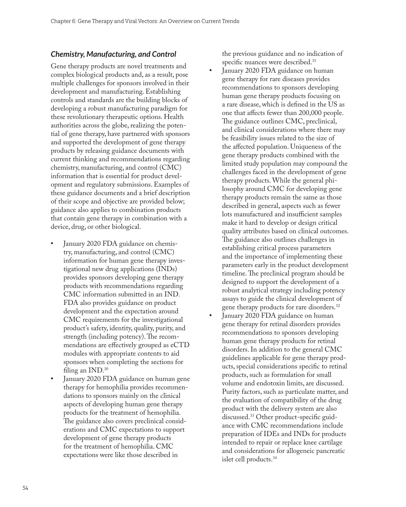### *Chemistry, Manufacturing, and Control*

Gene therapy products are novel treatments and complex biological products and, as a result, pose multiple challenges for sponsors involved in their development and manufacturing. Establishing controls and standards are the building blocks of developing a robust manufacturing paradigm for these revolutionary therapeutic options. Health authorities across the globe, realizing the potential of gene therapy, have partnered with sponsors and supported the development of gene therapy products by releasing guidance documents with current thinking and recommendations regarding chemistry, manufacturing, and control (CMC) information that is essential for product development and regulatory submissions. Examples of these guidance documents and a brief description of their scope and objective are provided below; guidance also applies to combination products that contain gene therapy in combination with a device, drug, or other biological.

- **•** January 2020 FDA guidance on chemistry, manufacturing, and control (CMC) information for human gene therapy investigational new drug applications (INDs) provides sponsors developing gene therapy products with recommendations regarding CMC information submitted in an IND. FDA also provides guidance on product development and the expectation around CMC requirements for the investigational product's safety, identity, quality, purity, and strength (including potency). The recommendations are effectively grouped as eCTD modules with appropriate contents to aid sponsors when completing the sections for filing an IND.<sup>30</sup>
- **•** January 2020 FDA guidance on human gene therapy for hemophilia provides recommendations to sponsors mainly on the clinical aspects of developing human gene therapy products for the treatment of hemophilia. The guidance also covers preclinical considerations and CMC expectations to support development of gene therapy products for the treatment of hemophilia. CMC expectations were like those described in

the previous guidance and no indication of specific nuances were described.<sup>31</sup>

- **•** January 2020 FDA guidance on human gene therapy for rare diseases provides recommendations to sponsors developing human gene therapy products focusing on a rare disease, which is defined in the US as one that affects fewer than 200,000 people. The guidance outlines CMC, preclinical, and clinical considerations where there may be feasibility issues related to the size of the affected population. Uniqueness of the gene therapy products combined with the limited study population may compound the challenges faced in the development of gene therapy products. While the general philosophy around CMC for developing gene therapy products remain the same as those described in general, aspects such as fewer lots manufactured and insufficient samples make it hard to develop or design critical quality attributes based on clinical outcomes. The guidance also outlines challenges in establishing critical process parameters and the importance of implementing these parameters early in the product development timeline. The preclinical program should be designed to support the development of a robust analytical strategy including potency assays to guide the clinical development of gene therapy products for rare disorders.32
- **•** January 2020 FDA guidance on human gene therapy for retinal disorders provides recommendations to sponsors developing human gene therapy products for retinal disorders. In addition to the general CMC guidelines applicable for gene therapy products, special considerations specific to retinal products, such as formulation for small volume and endotoxin limits, are discussed. Purity factors, such as particulate matter, and the evaluation of compatibility of the drug product with the delivery system are also discussed.33 Other product-specific guidance with CMC recommendations include preparation of IDEs and INDs for products intended to repair or replace knee cartilage and considerations for allogeneic pancreatic islet cell products.34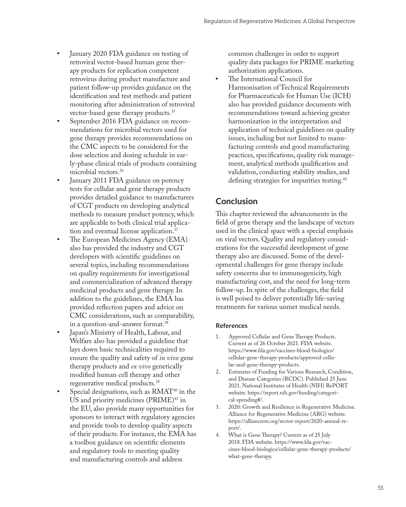- **•** January 2020 FDA guidance on testing of retroviral vector-based human gene therapy products for replication competent retrovirus during product manufacture and patient follow-up provides guidance on the identification and test methods and patient monitoring after administration of retroviral vector-based gene therapy products.35
- **•** September 2016 FDA guidance on recommendations for microbial vectors used for gene therapy provides recommendations on the CMC aspects to be considered for the dose selection and dosing schedule in early-phase clinical trials of products containing microbial vectors.36
- **•** January 2011 FDA guidance on potency tests for cellular and gene therapy products provides detailed guidance to manufacturers of CGT products on developing analytical methods to measure product potency, which are applicable to both clinical trial application and eventual license application.<sup>37</sup>
- **•** The European Medicines Agency (EMA) also has provided the industry and CGT developers with scientific guidelines on several topics, including recommendations on quality requirements for investigational and commercialization of advanced therapy medicinal products and gene therapy. In addition to the guidelines, the EMA has provided reflection papers and advice on CMC considerations, such as comparability, in a question-and-answer format.38
- **•** Japan's Ministry of Health, Labour, and Welfare also has provided a guideline that lays down basic technicalities required to ensure the quality and safety of *in vivo* gene therapy products and *ex vivo* genetically modified human cell therapy and other regenerative medical products.39
- Special designations, such as RMAT<sup>40</sup> in the US and priority medicines (PRIME)<sup>41</sup> in the EU, also provide many opportunities for sponsors to interact with regulatory agencies and provide tools to develop quality aspects of their products. For instance, the EMA has a toolbox guidance on scientific elements and regulatory tools to meeting quality and manufacturing controls and address

common challenges in order to support quality data packages for PRIME marketing authorization applications.

**•** The International Council for Harmonisation of Technical Requirements for Pharmaceuticals for Human Use (ICH) also has provided guidance documents with recommendations toward achieving greater harmonization in the interpretation and application of technical guidelines on quality issues, including but not limited to manufacturing controls and good manufacturing practices, specifications, quality risk management, analytical methods qualification and validation, conducting stability studies, and defining strategies for impurities testing.42

## **Conclusion**

This chapter reviewed the advancements in the field of gene therapy and the landscape of vectors used in the clinical space with a special emphasis on viral vectors. Quality and regulatory considerations for the successful development of gene therapy also are discussed. Some of the developmental challenges for gene therapy include safety concerns due to immunogenicity, high manufacturing cost, and the need for long-term follow-up. In spite of the challenges, the field is well poised to deliver potentially life-saving treatments for various unmet medical needs.

#### **References**

- 1. Approved Cellular and Gene Therapy Products. Current as of 26 October 2021. FDA website. [https://www.fda.gov/vaccines-blood-biologics/](https://www.fda.gov/vaccines-blood-biologics/cellular-gene-therapy-products/approved-cellular-and-gene-therapy-products) [cellular-gene-therapy-products/approved-cellu](https://www.fda.gov/vaccines-blood-biologics/cellular-gene-therapy-products/approved-cellular-and-gene-therapy-products)[lar-and-gene-therapy-products](https://www.fda.gov/vaccines-blood-biologics/cellular-gene-therapy-products/approved-cellular-and-gene-therapy-products).
- 2. Estimates of Funding for Various Research, Condition, and Disease Categories (RCDC). Published 25 June 2021. National Institutes of Health (NIH) RePORT website. https://report.nih.gov/funding/categorical-spending#/.
- 3. 2020: Growth and Resilience in Regenerative Medicine. Alliance for Regenerative Medicine (ARG) website. [https://alliancerm.org/sector-report/2020-annual-re](https://alliancerm.org/sector-report/2020-annual-report/)[port/](https://alliancerm.org/sector-report/2020-annual-report/).
- 4. What is Gene Therapy? Current as of 25 July 2018. FDA website. [https://www.fda.gov/vac](https://www.fda.gov/vaccines-blood-biologics/cellular-gene-therapy-products/what-gene-therapy)[cines-blood-biologics/cellular-gene-therapy-products/](https://www.fda.gov/vaccines-blood-biologics/cellular-gene-therapy-products/what-gene-therapy) [what-gene-therapy](https://www.fda.gov/vaccines-blood-biologics/cellular-gene-therapy-products/what-gene-therapy).